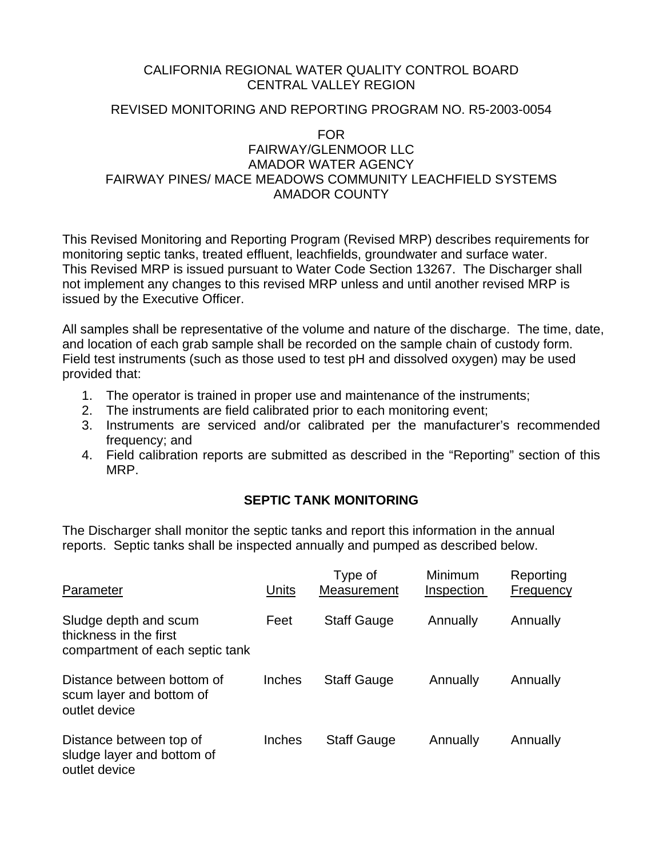### CALIFORNIA REGIONAL WATER QUALITY CONTROL BOARD CENTRAL VALLEY REGION

## REVISED MONITORING AND REPORTING PROGRAM NO. R5-2003-0054

### FOR FAIRWAY/GLENMOOR LLC AMADOR WATER AGENCY FAIRWAY PINES/ MACE MEADOWS COMMUNITY LEACHFIELD SYSTEMS AMADOR COUNTY

This Revised Monitoring and Reporting Program (Revised MRP) describes requirements for monitoring septic tanks, treated effluent, leachfields, groundwater and surface water. This Revised MRP is issued pursuant to Water Code Section 13267. The Discharger shall not implement any changes to this revised MRP unless and until another revised MRP is issued by the Executive Officer.

All samples shall be representative of the volume and nature of the discharge. The time, date, and location of each grab sample shall be recorded on the sample chain of custody form. Field test instruments (such as those used to test pH and dissolved oxygen) may be used provided that:

- 1. The operator is trained in proper use and maintenance of the instruments;
- 2. The instruments are field calibrated prior to each monitoring event;
- 3. Instruments are serviced and/or calibrated per the manufacturer's recommended frequency; and
- 4. Field calibration reports are submitted as described in the "Reporting" section of this MRP.

# **SEPTIC TANK MONITORING**

The Discharger shall monitor the septic tanks and report this information in the annual reports. Septic tanks shall be inspected annually and pumped as described below.

| Parameter                                                                          | Units  | Type of<br>Measurement | Minimum<br>Inspection | Reporting<br>Frequency |
|------------------------------------------------------------------------------------|--------|------------------------|-----------------------|------------------------|
| Sludge depth and scum<br>thickness in the first<br>compartment of each septic tank | Feet   | <b>Staff Gauge</b>     | Annually              | Annually               |
| Distance between bottom of<br>scum layer and bottom of<br>outlet device            | Inches | <b>Staff Gauge</b>     | Annually              | Annually               |
| Distance between top of<br>sludge layer and bottom of<br>outlet device             | Inches | <b>Staff Gauge</b>     | Annually              | Annually               |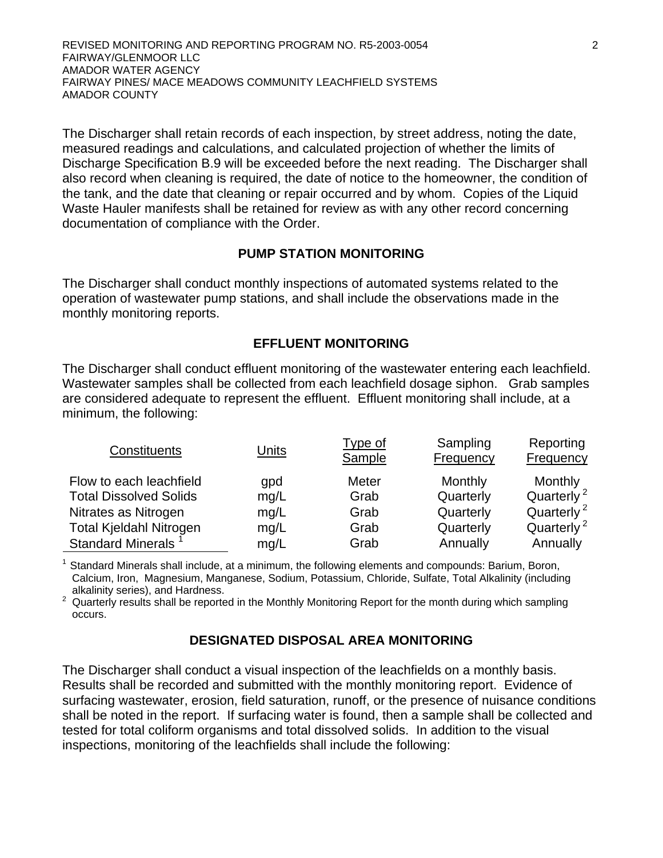REVISED MONITORING AND REPORTING PROGRAM NO. R5-2003-0054 2 FAIRWAY/GLENMOOR LLC AMADOR WATER AGENCY FAIRWAY PINES/ MACE MEADOWS COMMUNITY LEACHFIELD SYSTEMS AMADOR COUNTY

The Discharger shall retain records of each inspection, by street address, noting the date, measured readings and calculations, and calculated projection of whether the limits of Discharge Specification B.9 will be exceeded before the next reading. The Discharger shall also record when cleaning is required, the date of notice to the homeowner, the condition of the tank, and the date that cleaning or repair occurred and by whom. Copies of the Liquid Waste Hauler manifests shall be retained for review as with any other record concerning documentation of compliance with the Order.

### **PUMP STATION MONITORING**

The Discharger shall conduct monthly inspections of automated systems related to the operation of wastewater pump stations, and shall include the observations made in the monthly monitoring reports.

### **EFFLUENT MONITORING**

The Discharger shall conduct effluent monitoring of the wastewater entering each leachfield. Wastewater samples shall be collected from each leachfield dosage siphon. Grab samples are considered adequate to represent the effluent. Effluent monitoring shall include, at a minimum, the following:

| Constituents                   | Units | <u>Type of</u><br>Sample | Sampling<br>Frequency | Reporting<br><b>Frequency</b> |
|--------------------------------|-------|--------------------------|-----------------------|-------------------------------|
| Flow to each leachfield        | gpd   | Meter                    | Monthly               | Monthly                       |
| <b>Total Dissolved Solids</b>  | mq/L  | Grab                     | Quarterly             | Quarterly <sup>2</sup>        |
| Nitrates as Nitrogen           | mq/L  | Grab                     | Quarterly             | Quarterly <sup>2</sup>        |
| <b>Total Kjeldahl Nitrogen</b> | mg/L  | Grab                     | Quarterly             | Quarterly <sup>2</sup>        |
| Standard Minerals <sup>1</sup> | mg/L  | Grab                     | Annually              | Annually                      |

<sup>1</sup> Standard Minerals shall include, at a minimum, the following elements and compounds: Barium, Boron, Calcium, Iron, Magnesium, Manganese, Sodium, Potassium, Chloride, Sulfate, Total Alkalinity (including alkalinity series), and Hardness. 2

 $2$  Quarterly results shall be reported in the Monthly Monitoring Report for the month during which sampling occurs.

### **DESIGNATED DISPOSAL AREA MONITORING**

The Discharger shall conduct a visual inspection of the leachfields on a monthly basis. Results shall be recorded and submitted with the monthly monitoring report. Evidence of surfacing wastewater, erosion, field saturation, runoff, or the presence of nuisance conditions shall be noted in the report. If surfacing water is found, then a sample shall be collected and tested for total coliform organisms and total dissolved solids. In addition to the visual inspections, monitoring of the leachfields shall include the following: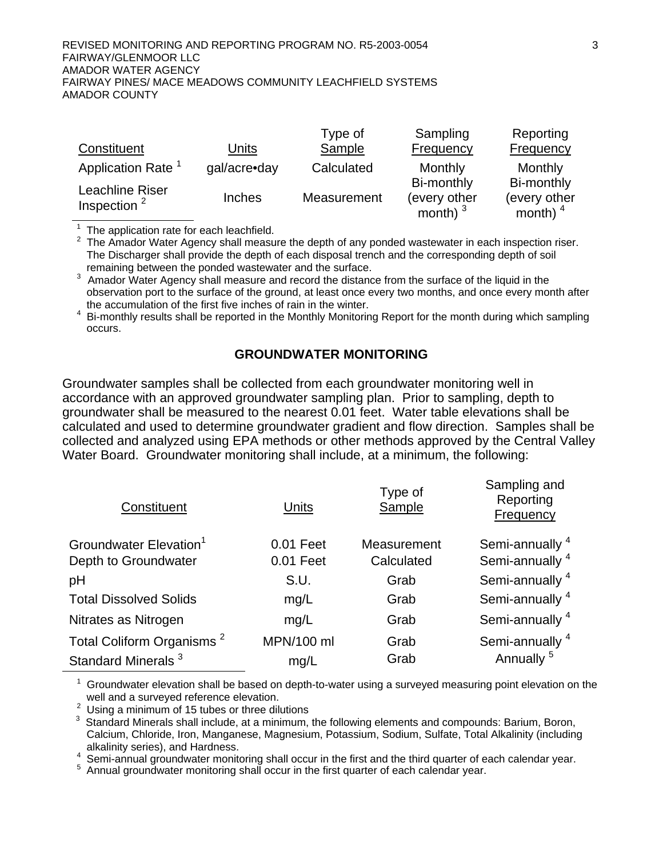#### REVISED MONITORING AND REPORTING PROGRAM NO. R5-2003-0054 3 FAIRWAY/GLENMOOR LLC AMADOR WATER AGENCY FAIRWAY PINES/ MACE MEADOWS COMMUNITY LEACHFIELD SYSTEMS AMADOR COUNTY

| Constituent                       | Units         | Type of<br>Sample | Sampling<br>Frequency                    | Reporting<br>Frequency                   |
|-----------------------------------|---------------|-------------------|------------------------------------------|------------------------------------------|
| Application Rate <sup>1</sup>     | gal/acre•day  | Calculated        | Monthly                                  | Monthly                                  |
| Leachline Riser<br>Inspection $2$ | <b>Inches</b> | Measurement       | Bi-monthly<br>(every other<br>month) $3$ | Bi-monthly<br>(every other<br>month) $4$ |

 $1$  The application rate for each leachfield.

 $2$  The Amador Water Agency shall measure the depth of any ponded wastewater in each inspection riser. The Discharger shall provide the depth of each disposal trench and the corresponding depth of soil remaining between the ponded wastewater and the surface.

 $3$  Amador Water Agency shall measure and record the distance from the surface of the liquid in the observation port to the surface of the ground, at least once every two months, and once every month after the accumulation of the first five inches of rain in the winter.

<sup>4</sup> Bi-monthly results shall be reported in the Monthly Monitoring Report for the month during which sampling occurs.

### **GROUNDWATER MONITORING**

Groundwater samples shall be collected from each groundwater monitoring well in accordance with an approved groundwater sampling plan. Prior to sampling, depth to groundwater shall be measured to the nearest 0.01 feet. Water table elevations shall be calculated and used to determine groundwater gradient and flow direction. Samples shall be collected and analyzed using EPA methods or other methods approved by the Central Valley Water Board. Groundwater monitoring shall include, at a minimum, the following:

| Units      | Type of<br>Sample | Sampling and<br>Reporting<br>Frequency |
|------------|-------------------|----------------------------------------|
| 0.01 Feet  | Measurement       | Semi-annually <sup>4</sup>             |
|            |                   | Semi-annually <sup>4</sup>             |
| S.U.       | Grab              | Semi-annually <sup>4</sup>             |
| mg/L       | Grab              | Semi-annually <sup>4</sup>             |
| mg/L       | Grab              | Semi-annually <sup>4</sup>             |
| MPN/100 ml | Grab              | Semi-annually <sup>4</sup>             |
| mg/L       | Grab              | Annually <sup>5</sup>                  |
|            | 0.01 Feet         | Calculated                             |

 $1$  Groundwater elevation shall be based on depth-to-water using a surveyed measuring point elevation on the well and a surveyed reference elevation.

 $2$  Using a minimum of 15 tubes or three dilutions

 $3$  Standard Minerals shall include, at a minimum, the following elements and compounds: Barium, Boron, Calcium, Chloride, Iron, Manganese, Magnesium, Potassium, Sodium, Sulfate, Total Alkalinity (including alkalinity series), and Hardness.<br>4 Somi annual groundwater monite

<sup>4</sup> Semi-annual groundwater monitoring shall occur in the first and the third quarter of each calendar year.<br><sup>5</sup> Annual groundwater monitoring shall occur in the first quarter of each calendar year.

<sup>5</sup> Annual groundwater monitoring shall occur in the first quarter of each calendar year.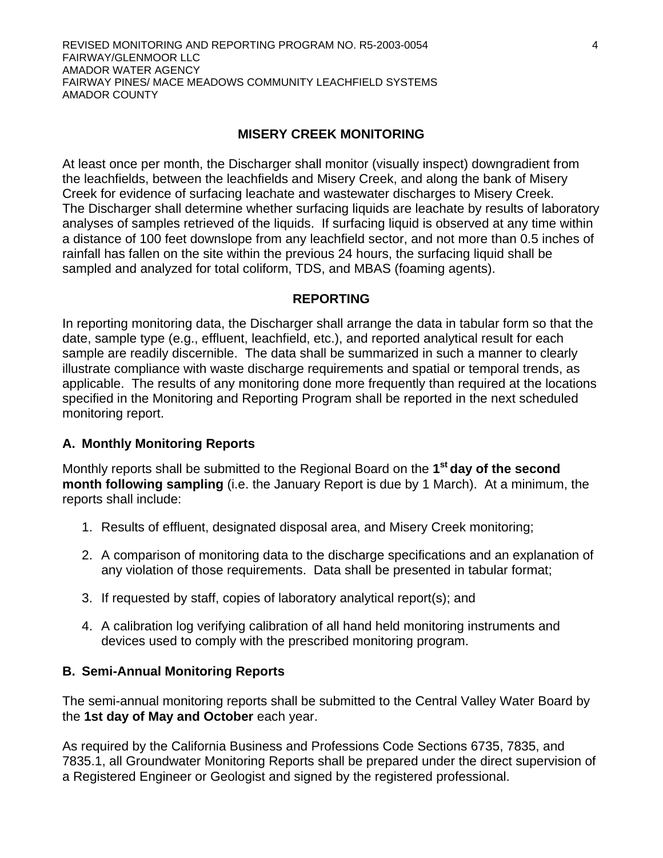# **MISERY CREEK MONITORING**

At least once per month, the Discharger shall monitor (visually inspect) downgradient from the leachfields, between the leachfields and Misery Creek, and along the bank of Misery Creek for evidence of surfacing leachate and wastewater discharges to Misery Creek. The Discharger shall determine whether surfacing liquids are leachate by results of laboratory analyses of samples retrieved of the liquids. If surfacing liquid is observed at any time within a distance of 100 feet downslope from any leachfield sector, and not more than 0.5 inches of rainfall has fallen on the site within the previous 24 hours, the surfacing liquid shall be sampled and analyzed for total coliform, TDS, and MBAS (foaming agents).

## **REPORTING**

In reporting monitoring data, the Discharger shall arrange the data in tabular form so that the date, sample type (e.g., effluent, leachfield, etc.), and reported analytical result for each sample are readily discernible. The data shall be summarized in such a manner to clearly illustrate compliance with waste discharge requirements and spatial or temporal trends, as applicable. The results of any monitoring done more frequently than required at the locations specified in the Monitoring and Reporting Program shall be reported in the next scheduled monitoring report.

# **A. Monthly Monitoring Reports**

Monthly reports shall be submitted to the Regional Board on the **1st day of the second month following sampling** (i.e. the January Report is due by 1 March). At a minimum, the reports shall include:

- 1. Results of effluent, designated disposal area, and Misery Creek monitoring;
- 2. A comparison of monitoring data to the discharge specifications and an explanation of any violation of those requirements. Data shall be presented in tabular format;
- 3. If requested by staff, copies of laboratory analytical report(s); and
- 4. A calibration log verifying calibration of all hand held monitoring instruments and devices used to comply with the prescribed monitoring program.

## **B. Semi-Annual Monitoring Reports**

The semi-annual monitoring reports shall be submitted to the Central Valley Water Board by the **1st day of May and October** each year.

As required by the California Business and Professions Code Sections 6735, 7835, and 7835.1, all Groundwater Monitoring Reports shall be prepared under the direct supervision of a Registered Engineer or Geologist and signed by the registered professional.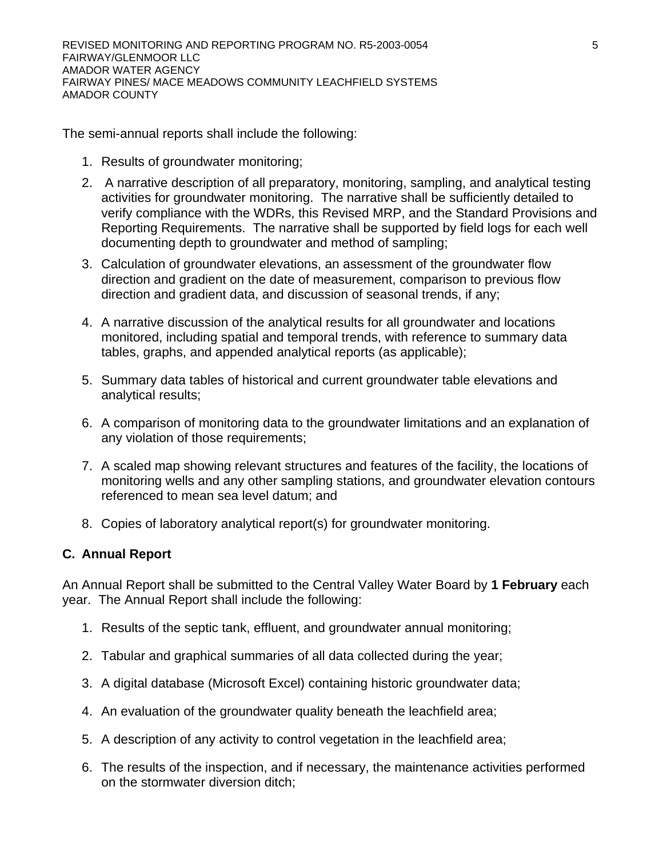The semi-annual reports shall include the following:

- 1. Results of groundwater monitoring;
- 2. A narrative description of all preparatory, monitoring, sampling, and analytical testing activities for groundwater monitoring. The narrative shall be sufficiently detailed to verify compliance with the WDRs, this Revised MRP, and the Standard Provisions and Reporting Requirements. The narrative shall be supported by field logs for each well documenting depth to groundwater and method of sampling;
- 3. Calculation of groundwater elevations, an assessment of the groundwater flow direction and gradient on the date of measurement, comparison to previous flow direction and gradient data, and discussion of seasonal trends, if any;
- 4. A narrative discussion of the analytical results for all groundwater and locations monitored, including spatial and temporal trends, with reference to summary data tables, graphs, and appended analytical reports (as applicable);
- 5. Summary data tables of historical and current groundwater table elevations and analytical results;
- 6. A comparison of monitoring data to the groundwater limitations and an explanation of any violation of those requirements;
- 7. A scaled map showing relevant structures and features of the facility, the locations of monitoring wells and any other sampling stations, and groundwater elevation contours referenced to mean sea level datum; and
- 8. Copies of laboratory analytical report(s) for groundwater monitoring.

## **C. Annual Report**

An Annual Report shall be submitted to the Central Valley Water Board by **1 February** each year. The Annual Report shall include the following:

- 1. Results of the septic tank, effluent, and groundwater annual monitoring;
- 2. Tabular and graphical summaries of all data collected during the year;
- 3. A digital database (Microsoft Excel) containing historic groundwater data;
- 4. An evaluation of the groundwater quality beneath the leachfield area;
- 5. A description of any activity to control vegetation in the leachfield area;
- 6. The results of the inspection, and if necessary, the maintenance activities performed on the stormwater diversion ditch;